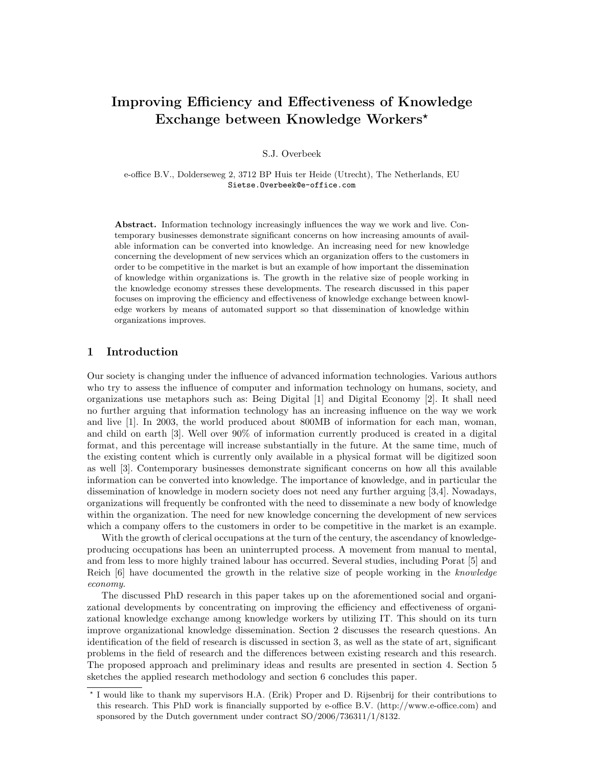# Improving Efficiency and Effectiveness of Knowledge Exchange between Knowledge Workers<sup>\*</sup>

S.J. Overbeek

e-office B.V., Dolderseweg 2, 3712 BP Huis ter Heide (Utrecht), The Netherlands, EU Sietse.Overbeek@e-office.com

Abstract. Information technology increasingly influences the way we work and live. Contemporary businesses demonstrate significant concerns on how increasing amounts of available information can be converted into knowledge. An increasing need for new knowledge concerning the development of new services which an organization offers to the customers in order to be competitive in the market is but an example of how important the dissemination of knowledge within organizations is. The growth in the relative size of people working in the knowledge economy stresses these developments. The research discussed in this paper focuses on improving the efficiency and effectiveness of knowledge exchange between knowledge workers by means of automated support so that dissemination of knowledge within organizations improves.

### 1 Introduction

Our society is changing under the influence of advanced information technologies. Various authors who try to assess the influence of computer and information technology on humans, society, and organizations use metaphors such as: Being Digital [1] and Digital Economy [2]. It shall need no further arguing that information technology has an increasing influence on the way we work and live [1]. In 2003, the world produced about 800MB of information for each man, woman, and child on earth [3]. Well over 90% of information currently produced is created in a digital format, and this percentage will increase substantially in the future. At the same time, much of the existing content which is currently only available in a physical format will be digitized soon as well [3]. Contemporary businesses demonstrate significant concerns on how all this available information can be converted into knowledge. The importance of knowledge, and in particular the dissemination of knowledge in modern society does not need any further arguing [3,4]. Nowadays, organizations will frequently be confronted with the need to disseminate a new body of knowledge within the organization. The need for new knowledge concerning the development of new services which a company offers to the customers in order to be competitive in the market is an example.

With the growth of clerical occupations at the turn of the century, the ascendancy of knowledgeproducing occupations has been an uninterrupted process. A movement from manual to mental, and from less to more highly trained labour has occurred. Several studies, including Porat [5] and Reich [6] have documented the growth in the relative size of people working in the knowledge economy.

The discussed PhD research in this paper takes up on the aforementioned social and organizational developments by concentrating on improving the efficiency and effectiveness of organizational knowledge exchange among knowledge workers by utilizing IT. This should on its turn improve organizational knowledge dissemination. Section 2 discusses the research questions. An identification of the field of research is discussed in section 3, as well as the state of art, significant problems in the field of research and the differences between existing research and this research. The proposed approach and preliminary ideas and results are presented in section 4. Section 5 sketches the applied research methodology and section 6 concludes this paper.

<sup>?</sup> I would like to thank my supervisors H.A. (Erik) Proper and D. Rijsenbrij for their contributions to this research. This PhD work is financially supported by e-office B.V. (http://www.e-office.com) and sponsored by the Dutch government under contract SO/2006/736311/1/8132.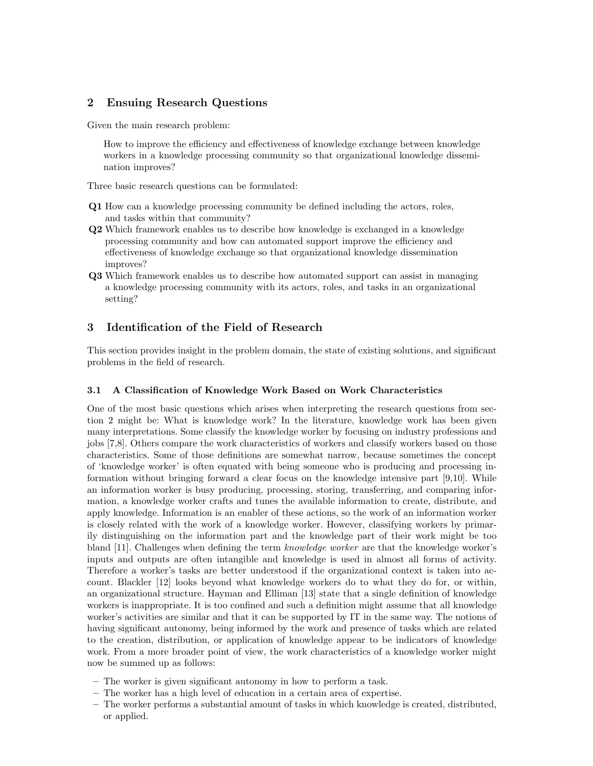# 2 Ensuing Research Questions

Given the main research problem:

How to improve the efficiency and effectiveness of knowledge exchange between knowledge workers in a knowledge processing community so that organizational knowledge dissemination improves?

Three basic research questions can be formulated:

- Q1 How can a knowledge processing community be defined including the actors, roles, and tasks within that community?
- Q2 Which framework enables us to describe how knowledge is exchanged in a knowledge processing community and how can automated support improve the efficiency and effectiveness of knowledge exchange so that organizational knowledge dissemination improves?
- Q3 Which framework enables us to describe how automated support can assist in managing a knowledge processing community with its actors, roles, and tasks in an organizational setting?

# 3 Identification of the Field of Research

This section provides insight in the problem domain, the state of existing solutions, and significant problems in the field of research.

#### 3.1 A Classification of Knowledge Work Based on Work Characteristics

One of the most basic questions which arises when interpreting the research questions from section 2 might be: What is knowledge work? In the literature, knowledge work has been given many interpretations. Some classify the knowledge worker by focusing on industry professions and jobs [7,8]. Others compare the work characteristics of workers and classify workers based on those characteristics. Some of those definitions are somewhat narrow, because sometimes the concept of 'knowledge worker' is often equated with being someone who is producing and processing information without bringing forward a clear focus on the knowledge intensive part [9,10]. While an information worker is busy producing, processing, storing, transferring, and comparing information, a knowledge worker crafts and tunes the available information to create, distribute, and apply knowledge. Information is an enabler of these actions, so the work of an information worker is closely related with the work of a knowledge worker. However, classifying workers by primarily distinguishing on the information part and the knowledge part of their work might be too bland [11]. Challenges when defining the term knowledge worker are that the knowledge worker's inputs and outputs are often intangible and knowledge is used in almost all forms of activity. Therefore a worker's tasks are better understood if the organizational context is taken into account. Blackler [12] looks beyond what knowledge workers do to what they do for, or within, an organizational structure. Hayman and Elliman [13] state that a single definition of knowledge workers is inappropriate. It is too confined and such a definition might assume that all knowledge worker's activities are similar and that it can be supported by IT in the same way. The notions of having significant autonomy, being informed by the work and presence of tasks which are related to the creation, distribution, or application of knowledge appear to be indicators of knowledge work. From a more broader point of view, the work characteristics of a knowledge worker might now be summed up as follows:

- The worker is given significant autonomy in how to perform a task.
- The worker has a high level of education in a certain area of expertise.
- The worker performs a substantial amount of tasks in which knowledge is created, distributed, or applied.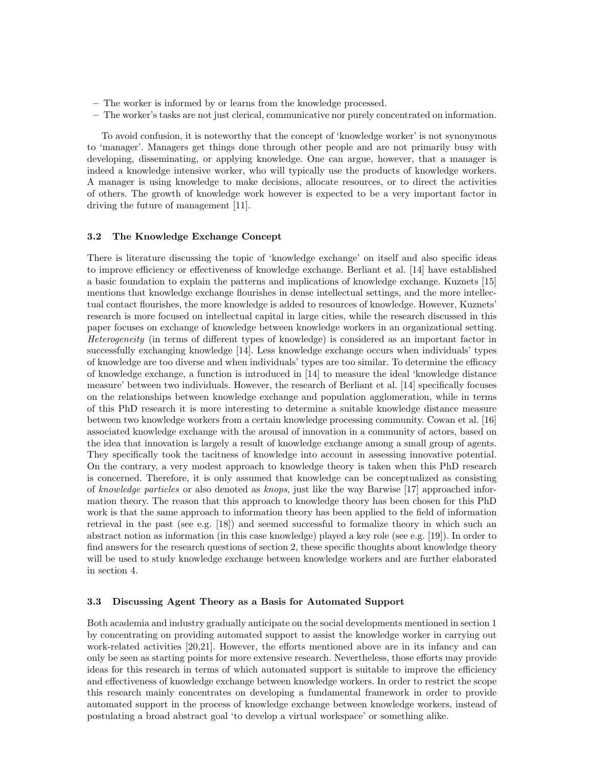- The worker is informed by or learns from the knowledge processed.
- The worker's tasks are not just clerical, communicative nor purely concentrated on information.

To avoid confusion, it is noteworthy that the concept of 'knowledge worker' is not synonymous to 'manager'. Managers get things done through other people and are not primarily busy with developing, disseminating, or applying knowledge. One can argue, however, that a manager is indeed a knowledge intensive worker, who will typically use the products of knowledge workers. A manager is using knowledge to make decisions, allocate resources, or to direct the activities of others. The growth of knowledge work however is expected to be a very important factor in driving the future of management [11].

#### 3.2 The Knowledge Exchange Concept

There is literature discussing the topic of 'knowledge exchange' on itself and also specific ideas to improve efficiency or effectiveness of knowledge exchange. Berliant et al. [14] have established a basic foundation to explain the patterns and implications of knowledge exchange. Kuznets [15] mentions that knowledge exchange flourishes in dense intellectual settings, and the more intellectual contact flourishes, the more knowledge is added to resources of knowledge. However, Kuznets' research is more focused on intellectual capital in large cities, while the research discussed in this paper focuses on exchange of knowledge between knowledge workers in an organizational setting. Heterogeneity (in terms of different types of knowledge) is considered as an important factor in successfully exchanging knowledge [14]. Less knowledge exchange occurs when individuals' types of knowledge are too diverse and when individuals' types are too similar. To determine the efficacy of knowledge exchange, a function is introduced in [14] to measure the ideal 'knowledge distance measure' between two individuals. However, the research of Berliant et al. [14] specifically focuses on the relationships between knowledge exchange and population agglomeration, while in terms of this PhD research it is more interesting to determine a suitable knowledge distance measure between two knowledge workers from a certain knowledge processing community. Cowan et al. [16] associated knowledge exchange with the arousal of innovation in a community of actors, based on the idea that innovation is largely a result of knowledge exchange among a small group of agents. They specifically took the tacitness of knowledge into account in assessing innovative potential. On the contrary, a very modest approach to knowledge theory is taken when this PhD research is concerned. Therefore, it is only assumed that knowledge can be conceptualized as consisting of knowledge particles or also denoted as knops, just like the way Barwise [17] approached information theory. The reason that this approach to knowledge theory has been chosen for this PhD work is that the same approach to information theory has been applied to the field of information retrieval in the past (see e.g. [18]) and seemed successful to formalize theory in which such an abstract notion as information (in this case knowledge) played a key role (see e.g. [19]). In order to find answers for the research questions of section 2, these specific thoughts about knowledge theory will be used to study knowledge exchange between knowledge workers and are further elaborated in section 4.

#### 3.3 Discussing Agent Theory as a Basis for Automated Support

Both academia and industry gradually anticipate on the social developments mentioned in section 1 by concentrating on providing automated support to assist the knowledge worker in carrying out work-related activities [20,21]. However, the efforts mentioned above are in its infancy and can only be seen as starting points for more extensive research. Nevertheless, those efforts may provide ideas for this research in terms of which automated support is suitable to improve the efficiency and effectiveness of knowledge exchange between knowledge workers. In order to restrict the scope this research mainly concentrates on developing a fundamental framework in order to provide automated support in the process of knowledge exchange between knowledge workers, instead of postulating a broad abstract goal 'to develop a virtual workspace' or something alike.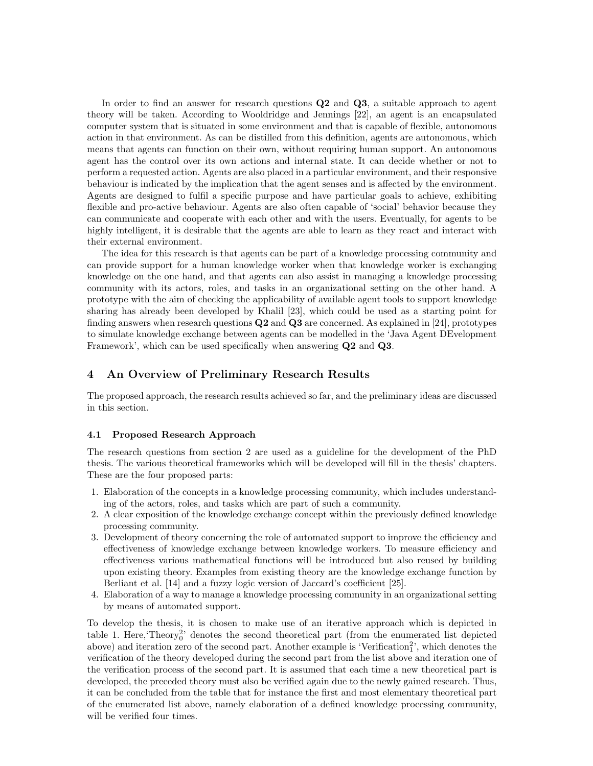In order to find an answer for research questions **Q2** and **Q3**, a suitable approach to agent theory will be taken. According to Wooldridge and Jennings [22], an agent is an encapsulated computer system that is situated in some environment and that is capable of flexible, autonomous action in that environment. As can be distilled from this definition, agents are autonomous, which means that agents can function on their own, without requiring human support. An autonomous agent has the control over its own actions and internal state. It can decide whether or not to perform a requested action. Agents are also placed in a particular environment, and their responsive behaviour is indicated by the implication that the agent senses and is affected by the environment. Agents are designed to fulfil a specific purpose and have particular goals to achieve, exhibiting flexible and pro-active behaviour. Agents are also often capable of 'social' behavior because they can communicate and cooperate with each other and with the users. Eventually, for agents to be highly intelligent, it is desirable that the agents are able to learn as they react and interact with their external environment.

The idea for this research is that agents can be part of a knowledge processing community and can provide support for a human knowledge worker when that knowledge worker is exchanging knowledge on the one hand, and that agents can also assist in managing a knowledge processing community with its actors, roles, and tasks in an organizational setting on the other hand. A prototype with the aim of checking the applicability of available agent tools to support knowledge sharing has already been developed by Khalil [23], which could be used as a starting point for finding answers when research questions  $Q2$  and  $Q3$  are concerned. As explained in [24], prototypes to simulate knowledge exchange between agents can be modelled in the 'Java Agent DEvelopment Framework', which can be used specifically when answering Q2 and Q3.

### 4 An Overview of Preliminary Research Results

The proposed approach, the research results achieved so far, and the preliminary ideas are discussed in this section.

#### 4.1 Proposed Research Approach

The research questions from section 2 are used as a guideline for the development of the PhD thesis. The various theoretical frameworks which will be developed will fill in the thesis' chapters. These are the four proposed parts:

- 1. Elaboration of the concepts in a knowledge processing community, which includes understanding of the actors, roles, and tasks which are part of such a community.
- 2. A clear exposition of the knowledge exchange concept within the previously defined knowledge processing community.
- 3. Development of theory concerning the role of automated support to improve the efficiency and effectiveness of knowledge exchange between knowledge workers. To measure efficiency and effectiveness various mathematical functions will be introduced but also reused by building upon existing theory. Examples from existing theory are the knowledge exchange function by Berliant et al. [14] and a fuzzy logic version of Jaccard's coefficient [25].
- 4. Elaboration of a way to manage a knowledge processing community in an organizational setting by means of automated support.

To develop the thesis, it is chosen to make use of an iterative approach which is depicted in table 1. Here, Theory<sub>0</sub><sup>2</sup> denotes the second theoretical part (from the enumerated list depicted above) and iteration zero of the second part. Another example is 'Verification<sup>2</sup>', which denotes the verification of the theory developed during the second part from the list above and iteration one of the verification process of the second part. It is assumed that each time a new theoretical part is developed, the preceded theory must also be verified again due to the newly gained research. Thus, it can be concluded from the table that for instance the first and most elementary theoretical part of the enumerated list above, namely elaboration of a defined knowledge processing community, will be verified four times.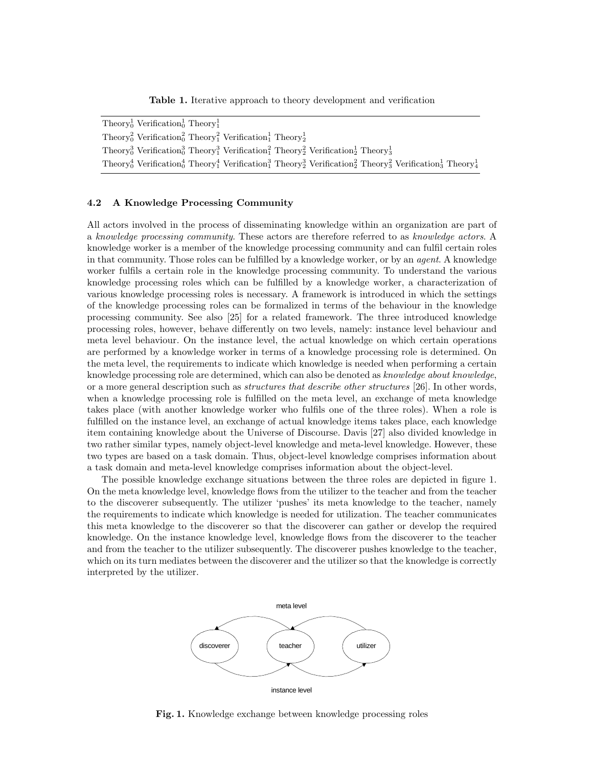Table 1. Iterative approach to theory development and verification

| Theory <sup>1</sup> Verification <sup>1</sup> Theory <sup>1</sup>                                                                                                                                           |
|-------------------------------------------------------------------------------------------------------------------------------------------------------------------------------------------------------------|
| Theory <sup>2</sup> Verification <sup>2</sup> Theory <sup>2</sup> Verification <sup>1</sup> Theory <sup>1</sup>                                                                                             |
| Theory <sup>3</sup> Verification <sup>3</sup> Theory <sup>3</sup> Verification <sup>2</sup> Theory <sup>2</sup> Verification <sup>1</sup> <sub>2</sub> Theory <sub>3</sub>                                  |
| Theory <sup>4</sup> Verification <sup>4</sup> Theory <sup>4</sup> Verification <sup>4</sup> Theory <sup>2</sup> Verification <sup>2</sup> Theory <sup>2</sup> Verification <sup>1</sup> Theory <sup>1</sup> |

#### 4.2 A Knowledge Processing Community

All actors involved in the process of disseminating knowledge within an organization are part of a knowledge processing community. These actors are therefore referred to as knowledge actors. A knowledge worker is a member of the knowledge processing community and can fulfil certain roles in that community. Those roles can be fulfilled by a knowledge worker, or by an agent. A knowledge worker fulfils a certain role in the knowledge processing community. To understand the various knowledge processing roles which can be fulfilled by a knowledge worker, a characterization of various knowledge processing roles is necessary. A framework is introduced in which the settings of the knowledge processing roles can be formalized in terms of the behaviour in the knowledge processing community. See also [25] for a related framework. The three introduced knowledge processing roles, however, behave differently on two levels, namely: instance level behaviour and meta level behaviour. On the instance level, the actual knowledge on which certain operations are performed by a knowledge worker in terms of a knowledge processing role is determined. On the meta level, the requirements to indicate which knowledge is needed when performing a certain knowledge processing role are determined, which can also be denoted as *knowledge about knowledge*. or a more general description such as *structures that describe other structures* [26]. In other words, when a knowledge processing role is fulfilled on the meta level, an exchange of meta knowledge takes place (with another knowledge worker who fulfils one of the three roles). When a role is fulfilled on the instance level, an exchange of actual knowledge items takes place, each knowledge item containing knowledge about the Universe of Discourse. Davis [27] also divided knowledge in two rather similar types, namely object-level knowledge and meta-level knowledge. However, these two types are based on a task domain. Thus, object-level knowledge comprises information about a task domain and meta-level knowledge comprises information about the object-level.

The possible knowledge exchange situations between the three roles are depicted in figure 1. On the meta knowledge level, knowledge flows from the utilizer to the teacher and from the teacher to the discoverer subsequently. The utilizer 'pushes' its meta knowledge to the teacher, namely the requirements to indicate which knowledge is needed for utilization. The teacher communicates this meta knowledge to the discoverer so that the discoverer can gather or develop the required knowledge. On the instance knowledge level, knowledge flows from the discoverer to the teacher and from the teacher to the utilizer subsequently. The discoverer pushes knowledge to the teacher, which on its turn mediates between the discoverer and the utilizer so that the knowledge is correctly interpreted by the utilizer.



Fig. 1. Knowledge exchange between knowledge processing roles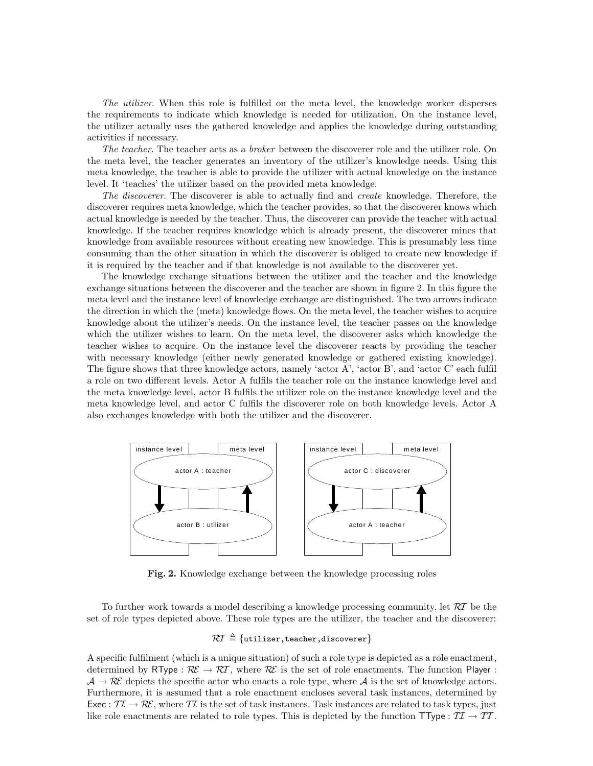The utilizer. When this role is fulfilled on the meta level, the knowledge worker disperses the requirements to indicate which knowledge is needed for utilization. On the instance level, the utilizer actually uses the gathered knowledge and applies the knowledge during outstanding activities if necessary.

The teacher. The teacher acts as a broker between the discoverer role and the utilizer role. On the meta level, the teacher generates an inventory of the utilizer's knowledge needs. Using this meta knowledge, the teacher is able to provide the utilizer with actual knowledge on the instance level. It 'teaches' the utilizer based on the provided meta knowledge.

The discoverer. The discoverer is able to actually find and create knowledge. Therefore, the discoverer requires meta knowledge, which the teacher provides, so that the discoverer knows which actual knowledge is needed by the teacher. Thus, the discoverer can provide the teacher with actual knowledge. If the teacher requires knowledge which is already present, the discoverer mines that knowledge from available resources without creating new knowledge. This is presumably less time consuming than the other situation in which the discoverer is obliged to create new knowledge if it is required by the teacher and if that knowledge is not available to the discoverer yet.

The knowledge exchange situations between the utilizer and the teacher and the knowledge exchange situations between the discoverer and the teacher are shown in figure 2. In this figure the meta level and the instance level of knowledge exchange are distinguished. The two arrows indicate the direction in which the (meta) knowledge flows. On the meta level, the teacher wishes to acquire knowledge about the utilizer's needs. On the instance level, the teacher passes on the knowledge which the utilizer wishes to learn. On the meta level, the discoverer asks which knowledge the teacher wishes to acquire. On the instance level the discoverer reacts by providing the teacher with necessary knowledge (either newly generated knowledge or gathered existing knowledge). The figure shows that three knowledge actors, namely 'actor A', 'actor B', and 'actor C' each fulfil a role on two different levels. Actor A fulfils the teacher role on the instance knowledge level and the meta knowledge level, actor B fulfils the utilizer role on the instance knowledge level and the meta knowledge level, and actor C fulfils the discoverer role on both knowledge levels. Actor A also exchanges knowledge with both the utilizer and the discoverer.



Fig. 2. Knowledge exchange between the knowledge processing roles

To further work towards a model describing a knowledge processing community, let  $RT$  be the set of role types depicted above. These role types are the utilizer, the teacher and the discoverer:

# $\mathcal{R} \mathcal{I} \triangleq \{\text{utilizer}, \text{teacher}, \text{discoverer}\}$

A specific fulfilment (which is a unique situation) of such a role type is depicted as a role enactment, determined by RType :  $\mathcal{R} \mathcal{E} \to \mathcal{R} \mathcal{T}$ , where  $\mathcal{R} \mathcal{E}$  is the set of role enactments. The function Player :  $\mathcal{A} \to \mathcal{R}\mathcal{E}$  depicts the specific actor who enacts a role type, where  $\mathcal{A}$  is the set of knowledge actors. Furthermore, it is assumed that a role enactment encloses several task instances, determined by Exec :  $\mathcal{II} \to \mathcal{RE}$ , where  $\mathcal{II}$  is the set of task instances. Task instances are related to task types, just like role enactments are related to role types. This is depicted by the function TType :  $T\mathcal{I} \to T\mathcal{T}$ .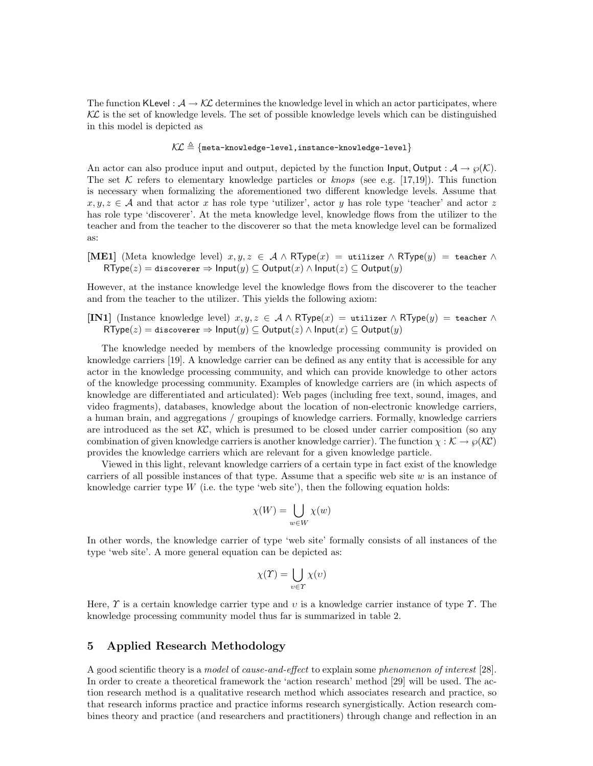The function KLevel :  $A \rightarrow K\mathcal{L}$  determines the knowledge level in which an actor participates, where  $\mathcal{K}\mathcal{L}$  is the set of knowledge levels. The set of possible knowledge levels which can be distinguished in this model is depicted as

$$
\mathcal{KL} \triangleq \{\texttt{meta-knowledge-level, instance-knowledge-level}\}
$$

An actor can also produce input and output, depicted by the function  $\text{Input}, \text{Output}: \mathcal{A} \rightarrow \varnothing(\mathcal{K}).$ The set K refers to elementary knowledge particles or knops (see e.g. [17,19]). This function is necessary when formalizing the aforementioned two different knowledge levels. Assume that  $x, y, z \in A$  and that actor x has role type 'utilizer', actor y has role type 'teacher' and actor z has role type 'discoverer'. At the meta knowledge level, knowledge flows from the utilizer to the teacher and from the teacher to the discoverer so that the meta knowledge level can be formalized as:

[ME1] (Meta knowledge level)  $x, y, z \in A \wedge RType(x) = \text{utilizer} \wedge RType(y) = \text{teacher} \wedge R$  $\mathsf{RType}(z) = \text{discoverer} \Rightarrow \text{Input}(y) \subseteq \text{Output}(x) \land \text{Input}(z) \subseteq \text{Output}(y)$ 

However, at the instance knowledge level the knowledge flows from the discoverer to the teacher and from the teacher to the utilizer. This yields the following axiom:

[IN1] (Instance knowledge level)  $x, y, z \in A \wedge RType(x) = \text{utilizer} \wedge RType(y) = \text{teacher} \wedge RType(y)$  $\mathsf{RType}(z) = \mathtt{discover} \Rightarrow \mathsf{Input}(y) \subseteq \mathsf{Output}(z) \land \mathsf{Input}(x) \subseteq \mathsf{Output}(y)$ 

The knowledge needed by members of the knowledge processing community is provided on knowledge carriers [19]. A knowledge carrier can be defined as any entity that is accessible for any actor in the knowledge processing community, and which can provide knowledge to other actors of the knowledge processing community. Examples of knowledge carriers are (in which aspects of knowledge are differentiated and articulated): Web pages (including free text, sound, images, and video fragments), databases, knowledge about the location of non-electronic knowledge carriers, a human brain, and aggregations / groupings of knowledge carriers. Formally, knowledge carriers are introduced as the set  $\mathcal{K}\mathcal{C}$ , which is presumed to be closed under carrier composition (so any combination of given knowledge carriers is another knowledge carrier). The function  $\chi : \mathcal{K} \to \wp(\mathcal{K}\mathcal{C})$ provides the knowledge carriers which are relevant for a given knowledge particle.

Viewed in this light, relevant knowledge carriers of a certain type in fact exist of the knowledge carriers of all possible instances of that type. Assume that a specific web site  $w$  is an instance of knowledge carrier type  $W$  (i.e. the type 'web site'), then the following equation holds:

$$
\chi(W) = \bigcup_{w \in W} \chi(w)
$$

In other words, the knowledge carrier of type 'web site' formally consists of all instances of the type 'web site'. A more general equation can be depicted as:

$$
\chi(\Upsilon) = \bigcup_{v \in \Upsilon} \chi(v)
$$

Here,  $\Upsilon$  is a certain knowledge carrier type and v is a knowledge carrier instance of type  $\Upsilon$ . The knowledge processing community model thus far is summarized in table 2.

## 5 Applied Research Methodology

A good scientific theory is a model of cause-and-effect to explain some phenomenon of interest [28]. In order to create a theoretical framework the 'action research' method [29] will be used. The action research method is a qualitative research method which associates research and practice, so that research informs practice and practice informs research synergistically. Action research combines theory and practice (and researchers and practitioners) through change and reflection in an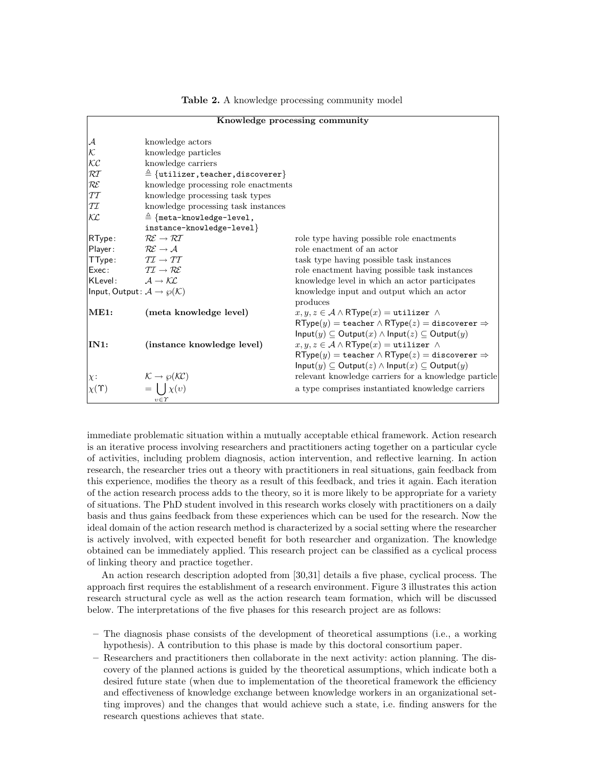| Knowledge processing community                            |                                                       |                                                                                                  |  |
|-----------------------------------------------------------|-------------------------------------------------------|--------------------------------------------------------------------------------------------------|--|
| ${\cal A}$                                                | knowledge actors                                      |                                                                                                  |  |
| ĸ                                                         | knowledge particles                                   |                                                                                                  |  |
| $\mathcal{K}\mathcal{C}$                                  | knowledge carriers                                    |                                                                                                  |  |
| RT                                                        | $\triangleq$ {utilizer, teacher, discoverer}          |                                                                                                  |  |
| ${\cal RE}$                                               | knowledge processing role enactments                  |                                                                                                  |  |
| ТT                                                        | knowledge processing task types                       |                                                                                                  |  |
| TI                                                        | knowledge processing task instances                   |                                                                                                  |  |
| KL                                                        | $\triangleq$ {meta-knowledge-level,                   |                                                                                                  |  |
|                                                           | instance-knowledge-level}                             |                                                                                                  |  |
| RType:                                                    | $R\mathcal{E} \rightarrow \mathcal{R}\mathcal{T}$     | role type having possible role enactments                                                        |  |
| Player:                                                   | $\mathcal{R}\mathcal{E}\rightarrow \mathcal{A}$       | role enactment of an actor                                                                       |  |
| TType: $TT \rightarrow TT$                                |                                                       | task type having possible task instances                                                         |  |
| Exec: $\mathcal{TI} \rightarrow \mathcal{RE}$             |                                                       | role enactment having possible task instances                                                    |  |
| KLevel: $A \rightarrow K\mathcal{L}$                      |                                                       | knowledge level in which an actor participates                                                   |  |
| Input, Output: $\mathcal{A} \rightarrow \wp(\mathcal{K})$ |                                                       | knowledge input and output which an actor                                                        |  |
|                                                           |                                                       | produces                                                                                         |  |
| ME1:                                                      | (meta knowledge level)                                | $x, y, z \in A \wedge \mathsf{RType}(x) = \mathtt{utilizer} \wedge$                              |  |
|                                                           |                                                       | $\mathsf{RType}(y) = \mathtt{teacher} \land \mathsf{RType}(z) = \mathtt{discoverer} \Rightarrow$ |  |
|                                                           |                                                       | $Input(y) \subseteq Output(x) \wedge Input(z) \subseteq Output(y)$                               |  |
| IN1:                                                      | (instance knowledge level)                            | $x, y, z \in A \wedge \mathsf{RType}(x) = \mathtt{utilizer} \wedge$                              |  |
|                                                           |                                                       | $\mathsf{RType}(y) = \mathtt{teacher} \land \mathsf{RType}(z) = \mathtt{discoverer} \Rightarrow$ |  |
|                                                           |                                                       | $Input(y) \subseteq Output(z) \wedge Input(x) \subseteq Output(y)$                               |  |
| $\chi$ :                                                  | $\mathcal{K} \rightarrow \wp(\mathcal{K}\mathcal{C})$ | relevant knowledge carriers for a knowledge particle                                             |  |
| $\chi(\Upsilon)$                                          | $=   \int \chi(v)$                                    | a type comprises instantiated knowledge carriers                                                 |  |
|                                                           | $v \in \Upsilon$                                      |                                                                                                  |  |

Table 2. A knowledge processing community model

immediate problematic situation within a mutually acceptable ethical framework. Action research is an iterative process involving researchers and practitioners acting together on a particular cycle of activities, including problem diagnosis, action intervention, and reflective learning. In action research, the researcher tries out a theory with practitioners in real situations, gain feedback from this experience, modifies the theory as a result of this feedback, and tries it again. Each iteration of the action research process adds to the theory, so it is more likely to be appropriate for a variety of situations. The PhD student involved in this research works closely with practitioners on a daily basis and thus gains feedback from these experiences which can be used for the research. Now the ideal domain of the action research method is characterized by a social setting where the researcher is actively involved, with expected benefit for both researcher and organization. The knowledge obtained can be immediately applied. This research project can be classified as a cyclical process of linking theory and practice together.

An action research description adopted from [30,31] details a five phase, cyclical process. The approach first requires the establishment of a research environment. Figure 3 illustrates this action research structural cycle as well as the action research team formation, which will be discussed below. The interpretations of the five phases for this research project are as follows:

- The diagnosis phase consists of the development of theoretical assumptions (i.e., a working hypothesis). A contribution to this phase is made by this doctoral consortium paper.
- Researchers and practitioners then collaborate in the next activity: action planning. The discovery of the planned actions is guided by the theoretical assumptions, which indicate both a desired future state (when due to implementation of the theoretical framework the efficiency and effectiveness of knowledge exchange between knowledge workers in an organizational setting improves) and the changes that would achieve such a state, i.e. finding answers for the research questions achieves that state.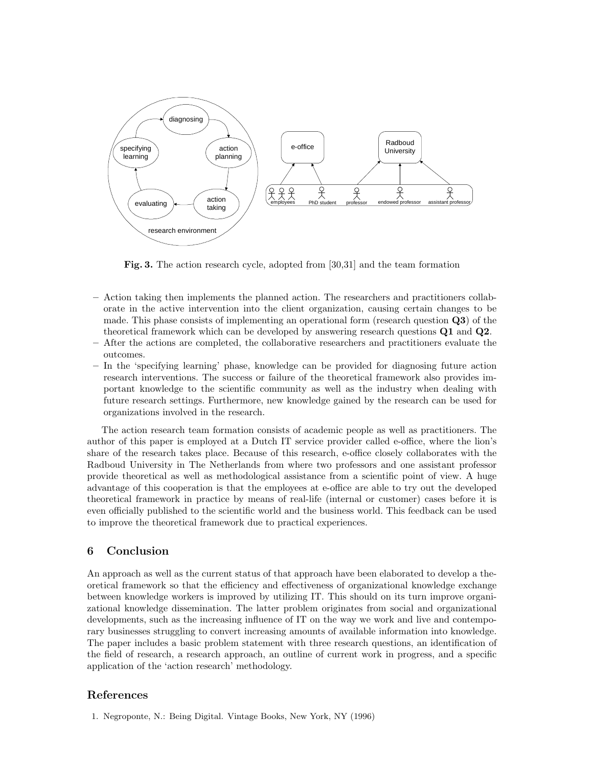

Fig. 3. The action research cycle, adopted from [30,31] and the team formation

- Action taking then implements the planned action. The researchers and practitioners collaborate in the active intervention into the client organization, causing certain changes to be made. This phase consists of implementing an operational form (research question Q3) of the theoretical framework which can be developed by answering research questions Q1 and Q2.
- After the actions are completed, the collaborative researchers and practitioners evaluate the outcomes.
- In the 'specifying learning' phase, knowledge can be provided for diagnosing future action research interventions. The success or failure of the theoretical framework also provides important knowledge to the scientific community as well as the industry when dealing with future research settings. Furthermore, new knowledge gained by the research can be used for organizations involved in the research.

The action research team formation consists of academic people as well as practitioners. The author of this paper is employed at a Dutch IT service provider called e-office, where the lion's share of the research takes place. Because of this research, e-office closely collaborates with the Radboud University in The Netherlands from where two professors and one assistant professor provide theoretical as well as methodological assistance from a scientific point of view. A huge advantage of this cooperation is that the employees at e-office are able to try out the developed theoretical framework in practice by means of real-life (internal or customer) cases before it is even officially published to the scientific world and the business world. This feedback can be used to improve the theoretical framework due to practical experiences.

### 6 Conclusion

An approach as well as the current status of that approach have been elaborated to develop a theoretical framework so that the efficiency and effectiveness of organizational knowledge exchange between knowledge workers is improved by utilizing IT. This should on its turn improve organizational knowledge dissemination. The latter problem originates from social and organizational developments, such as the increasing influence of IT on the way we work and live and contemporary businesses struggling to convert increasing amounts of available information into knowledge. The paper includes a basic problem statement with three research questions, an identification of the field of research, a research approach, an outline of current work in progress, and a specific application of the 'action research' methodology.

### References

1. Negroponte, N.: Being Digital. Vintage Books, New York, NY (1996)